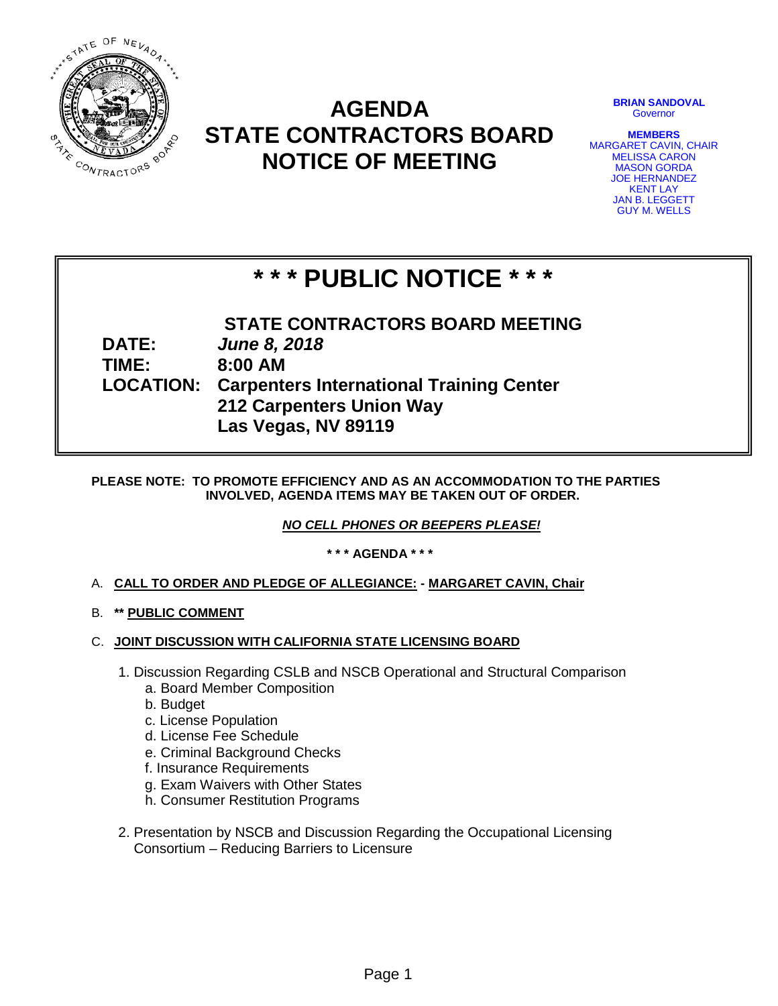

# **AGENDA STATE CONTRACTORS BOARD NOTICE OF MEETING**

**BRIAN SANDOVAL Governor** 

**MEMBERS** MARGARET CAVIN, CHAIR MELISSA CARON MASON GORDA JOE HERNANDEZ KENT LAY JAN B. LEGGETT GUY M. WELLS

# **\* \* \* PUBLIC NOTICE \* \* \***

**STATE CONTRACTORS BOARD MEETING DATE:** *June 8, 2018* **TIME: 8:00 AM LOCATION: Carpenters International Training Center 212 Carpenters Union Way Las Vegas, NV 89119**

# **PLEASE NOTE: TO PROMOTE EFFICIENCY AND AS AN ACCOMMODATION TO THE PARTIES INVOLVED, AGENDA ITEMS MAY BE TAKEN OUT OF ORDER.**

*NO CELL PHONES OR BEEPERS PLEASE!* 

**\* \* \* AGENDA \* \* \***

- A. **CALL TO ORDER AND PLEDGE OF ALLEGIANCE: - MARGARET CAVIN, Chair**
- B. **\*\* PUBLIC COMMENT**
- C. **JOINT DISCUSSION WITH CALIFORNIA STATE LICENSING BOARD**
	- 1. Discussion Regarding CSLB and NSCB Operational and Structural Comparison
		- a. Board Member Composition
		- b. Budget
		- c. License Population
		- d. License Fee Schedule
		- e. Criminal Background Checks
		- f. Insurance Requirements
		- g. Exam Waivers with Other States
		- h. Consumer Restitution Programs
	- 2. Presentation by NSCB and Discussion Regarding the Occupational Licensing Consortium – Reducing Barriers to Licensure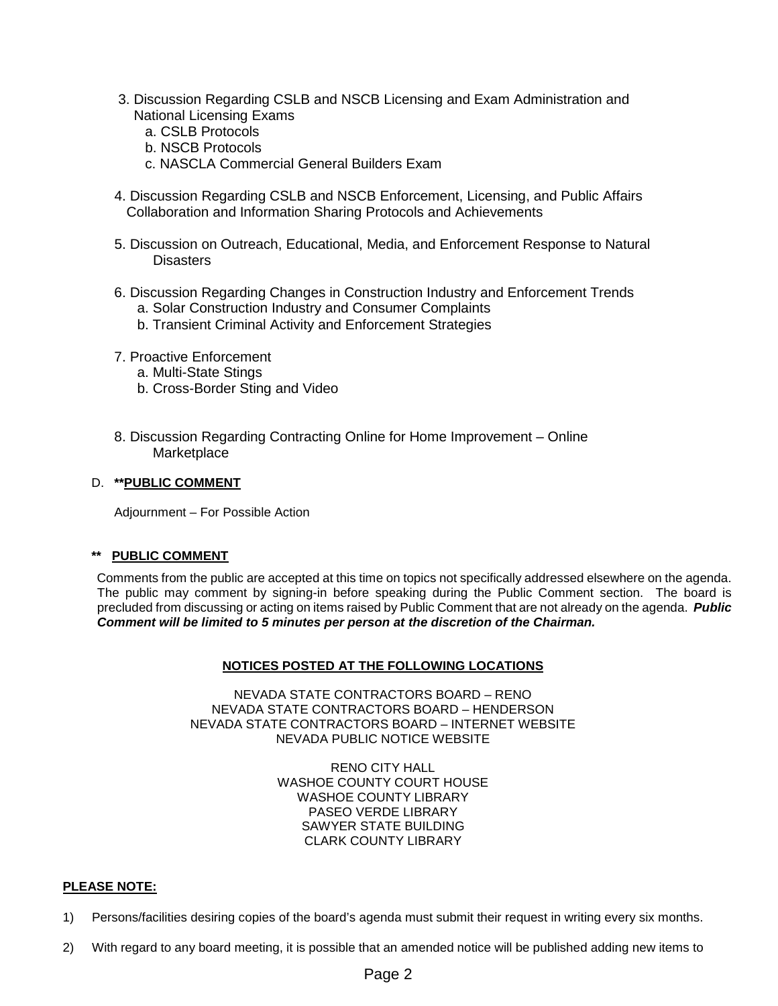- 3. Discussion Regarding CSLB and NSCB Licensing and Exam Administration and National Licensing Exams
	- a. CSLB Protocols
	- b. NSCB Protocols
	- c. NASCLA Commercial General Builders Exam
- 4. Discussion Regarding CSLB and NSCB Enforcement, Licensing, and Public Affairs Collaboration and Information Sharing Protocols and Achievements
- 5. Discussion on Outreach, Educational, Media, and Enforcement Response to Natural **Disasters**
- 6. Discussion Regarding Changes in Construction Industry and Enforcement Trends a. Solar Construction Industry and Consumer Complaints
	- b. Transient Criminal Activity and Enforcement Strategies
- 7. Proactive Enforcement
	- a. Multi-State Stings
	- b. Cross-Border Sting and Video
- 8. Discussion Regarding Contracting Online for Home Improvement Online **Marketplace**

#### D. **\*\*PUBLIC COMMENT**

Adjournment – For Possible Action

# **\*\* PUBLIC COMMENT**

Comments from the public are accepted at this time on topics not specifically addressed elsewhere on the agenda. The public may comment by signing-in before speaking during the Public Comment section. The board is precluded from discussing or acting on items raised by Public Comment that are not already on the agenda. *Public Comment will be limited to 5 minutes per person at the discretion of the Chairman.*

# **NOTICES POSTED AT THE FOLLOWING LOCATIONS**

NEVADA STATE CONTRACTORS BOARD – RENO NEVADA STATE CONTRACTORS BOARD – HENDERSON NEVADA STATE CONTRACTORS BOARD – INTERNET WEBSITE NEVADA PUBLIC NOTICE WEBSITE

> RENO CITY HALL WASHOE COUNTY COURT HOUSE WASHOE COUNTY LIBRARY PASEO VERDE LIBRARY SAWYER STATE BUILDING CLARK COUNTY LIBRARY

# **PLEASE NOTE:**

- 1) Persons/facilities desiring copies of the board's agenda must submit their request in writing every six months.
- 2) With regard to any board meeting, it is possible that an amended notice will be published adding new items to